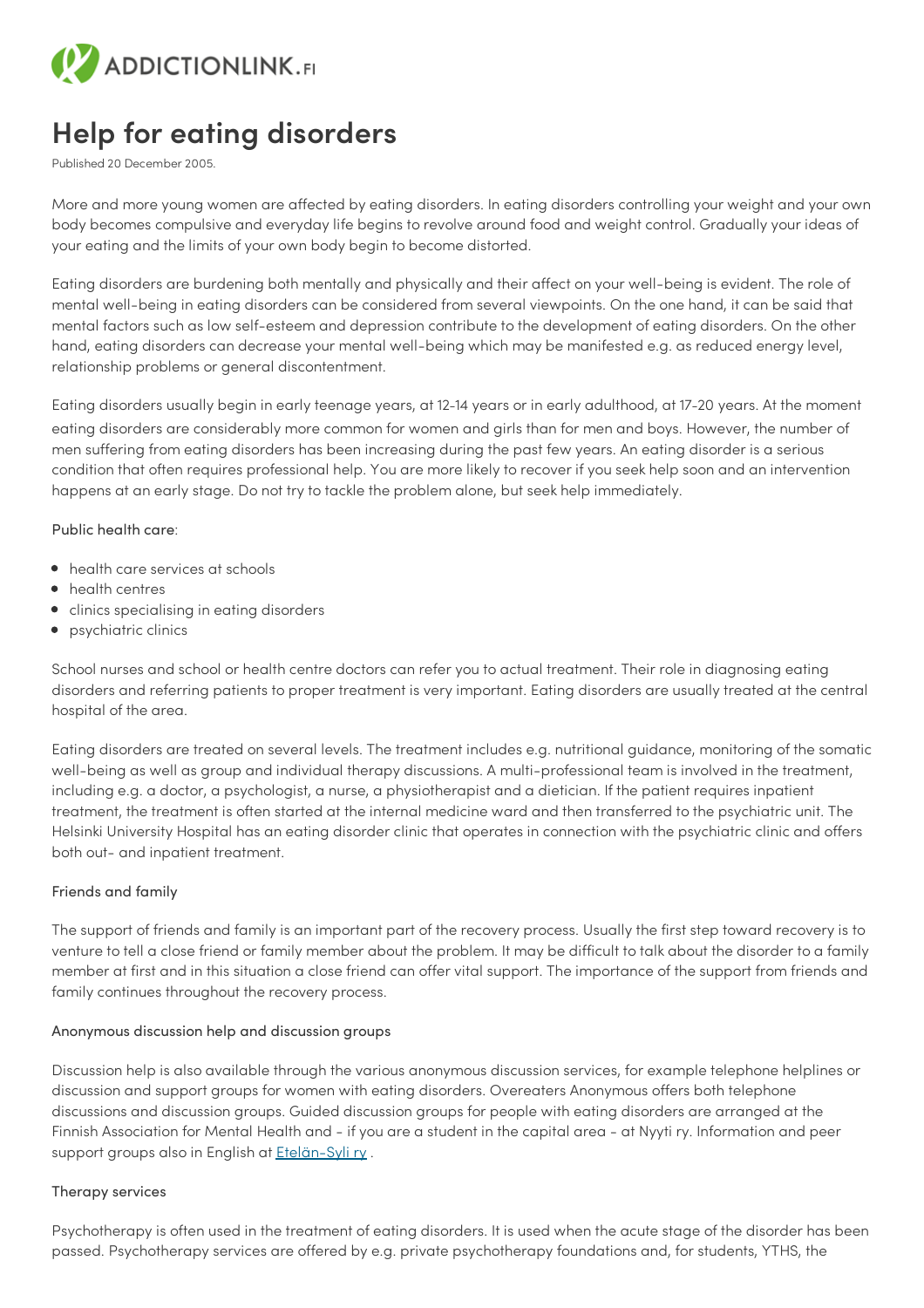

## **Help for eating disorders**

Published 20 December 2005.

More and more young women are affected by eating disorders. In eating disorders controlling your weight and your own body becomes compulsive and everyday life begins to revolve around food and weight control. Gradually your ideas of your eating and the limits of your own body begin to become distorted.

Eating disorders are burdening both mentally and physically and their affect on your well-being is evident. The role of mental well-being in eating disorders can be considered from several viewpoints. On the one hand, it can be said that mental factors such as low self-esteem and depression contribute to the development of eating disorders. On the other hand, eating disorders can decrease your mental well-being which may be manifested e.g. as reduced energy level, relationship problems or general discontentment.

Eating disorders usually begin in early teenage years, at 12–14 years or in early adulthood, at 17–20 years. At the moment eating disorders are considerably more common for women and girls than for men and boys. However, the number of men suffering from eating disorders has been increasing during the past few years. An eating disorder is a serious condition that often requires professional help. You are more likely to recover if you seek help soon and an intervention happens at an early stage. Do not try to tackle the problem alone, but seek help immediately.

Public health care:

- health care services at schools
- health centres
- **•** clinics specialising in eating disorders
- psychiatric clinics

School nurses and school or health centre doctors can refer you to actual treatment. Their role in diagnosing eating disorders and referring patients to proper treatment is very important. Eating disorders are usually treated at the central hospital of the area.

Eating disorders are treated on several levels. The treatment includes e.g. nutritional guidance, monitoring of the somatic well-being as well as group and individual therapy discussions. A multi-professional team is involved in the treatment, including e.g. a doctor, a psychologist, a nurse, a physiotherapist and a dietician. If the patient requires inpatient treatment, the treatment is often started at the internal medicine ward and then transferred to the psychiatric unit. The Helsinki University Hospital has an eating disorder clinic that operates in connection with the psychiatric clinic and offers both out- and inpatient treatment.

## Friends and family

The support of friends and family is an important part of the recovery process. Usually the first step toward recovery is to venture to tell a close friend or family member about the problem. It may be difficult to talk about the disorder to a family member at first and in this situation a close friend can offer vital support. The importance of the support from friends and family continues throughout the recovery process.

## Anonymous discussion help and discussion groups

Discussion help is also available through the various anonymous discussion services, for example telephone helplines or discussion and support groups for women with eating disorders. Overeaters Anonymous offers both telephone discussions and discussion groups. Guided discussion groups for people with eating disorders are arranged at the Finnish Association for Mental Health and - if you are a student in the capital area - at Nyyti ry. Information and peer support groups also in English at [Etelän-Syli](https://etelansyli.fi/en/) ry.

## Therapy services

Psychotherapy is often used in the treatment of eating disorders. It is used when the acute stage of the disorder has been passed. Psychotherapy services are offered by e.g. private psychotherapy foundations and, for students, YTHS, the